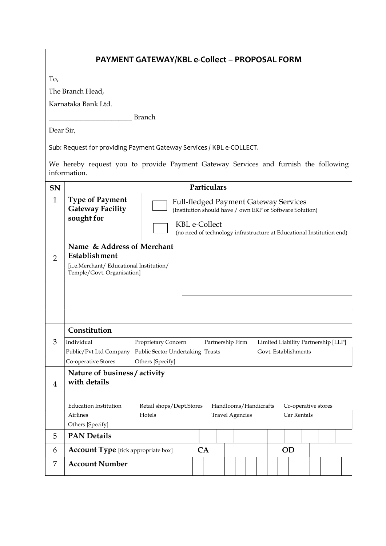| PAYMENT GATEWAY/KBL e-Collect - PROPOSAL FORM                                                       |                                                                                                                                                                                                                               |                                                                                                                             |                                                                                                                                  |  |  |           |  |  |                                                                       |  |  |  |
|-----------------------------------------------------------------------------------------------------|-------------------------------------------------------------------------------------------------------------------------------------------------------------------------------------------------------------------------------|-----------------------------------------------------------------------------------------------------------------------------|----------------------------------------------------------------------------------------------------------------------------------|--|--|-----------|--|--|-----------------------------------------------------------------------|--|--|--|
| To,                                                                                                 |                                                                                                                                                                                                                               |                                                                                                                             |                                                                                                                                  |  |  |           |  |  |                                                                       |  |  |  |
| The Branch Head,                                                                                    |                                                                                                                                                                                                                               |                                                                                                                             |                                                                                                                                  |  |  |           |  |  |                                                                       |  |  |  |
| Karnataka Bank Ltd.                                                                                 |                                                                                                                                                                                                                               |                                                                                                                             |                                                                                                                                  |  |  |           |  |  |                                                                       |  |  |  |
| <b>Branch</b>                                                                                       |                                                                                                                                                                                                                               |                                                                                                                             |                                                                                                                                  |  |  |           |  |  |                                                                       |  |  |  |
| Dear Sir,                                                                                           |                                                                                                                                                                                                                               |                                                                                                                             |                                                                                                                                  |  |  |           |  |  |                                                                       |  |  |  |
| Sub: Request for providing Payment Gateway Services / KBL e-COLLECT.                                |                                                                                                                                                                                                                               |                                                                                                                             |                                                                                                                                  |  |  |           |  |  |                                                                       |  |  |  |
| We hereby request you to provide Payment Gateway Services and furnish the following<br>information. |                                                                                                                                                                                                                               |                                                                                                                             |                                                                                                                                  |  |  |           |  |  |                                                                       |  |  |  |
| <b>SN</b>                                                                                           | Particulars                                                                                                                                                                                                                   |                                                                                                                             |                                                                                                                                  |  |  |           |  |  |                                                                       |  |  |  |
| $\mathbf{1}$                                                                                        | <b>Type of Payment</b><br><b>Gateway Facility</b><br>sought for                                                                                                                                                               |                                                                                                                             | <b>Full-fledged Payment Gateway Services</b><br>(Institution should have / own ERP or Software Solution)<br><b>KBL</b> e-Collect |  |  |           |  |  |                                                                       |  |  |  |
|                                                                                                     |                                                                                                                                                                                                                               |                                                                                                                             |                                                                                                                                  |  |  |           |  |  | (no need of technology infrastructure at Educational Institution end) |  |  |  |
| $\overline{2}$                                                                                      | Name & Address of Merchant<br>Establishment<br>[ie.Merchant/ Educational Institution/<br>Temple/Govt. Organisation]                                                                                                           |                                                                                                                             |                                                                                                                                  |  |  |           |  |  |                                                                       |  |  |  |
|                                                                                                     |                                                                                                                                                                                                                               |                                                                                                                             |                                                                                                                                  |  |  |           |  |  |                                                                       |  |  |  |
|                                                                                                     |                                                                                                                                                                                                                               |                                                                                                                             |                                                                                                                                  |  |  |           |  |  |                                                                       |  |  |  |
|                                                                                                     |                                                                                                                                                                                                                               |                                                                                                                             |                                                                                                                                  |  |  |           |  |  |                                                                       |  |  |  |
|                                                                                                     | Constitution                                                                                                                                                                                                                  |                                                                                                                             |                                                                                                                                  |  |  |           |  |  |                                                                       |  |  |  |
| 3                                                                                                   | Individual<br>Proprietary Concern<br>Partnership Firm<br>Limited Liability Partnership [LLP]<br>Public Sector Undertaking Trusts<br>Govt. Establishments<br>Public/Pvt Ltd Company<br>Co-operative Stores<br>Others [Specify] |                                                                                                                             |                                                                                                                                  |  |  |           |  |  |                                                                       |  |  |  |
| $\overline{4}$                                                                                      | Nature of business / activity<br>with details                                                                                                                                                                                 |                                                                                                                             |                                                                                                                                  |  |  |           |  |  |                                                                       |  |  |  |
|                                                                                                     | <b>Education Institution</b><br>Airlines<br>Others [Specify]                                                                                                                                                                  | Retail shops/Dept.Stores<br>Handlooms/Handicrafts<br>Co-operative stores<br><b>Travel Agencies</b><br>Car Rentals<br>Hotels |                                                                                                                                  |  |  |           |  |  |                                                                       |  |  |  |
| 5                                                                                                   | <b>PAN Details</b>                                                                                                                                                                                                            |                                                                                                                             |                                                                                                                                  |  |  |           |  |  |                                                                       |  |  |  |
| 6                                                                                                   | <b>Account Type</b> [tick appropriate box]                                                                                                                                                                                    |                                                                                                                             | CA                                                                                                                               |  |  | <b>OD</b> |  |  |                                                                       |  |  |  |
| 7                                                                                                   | <b>Account Number</b>                                                                                                                                                                                                         |                                                                                                                             |                                                                                                                                  |  |  |           |  |  |                                                                       |  |  |  |